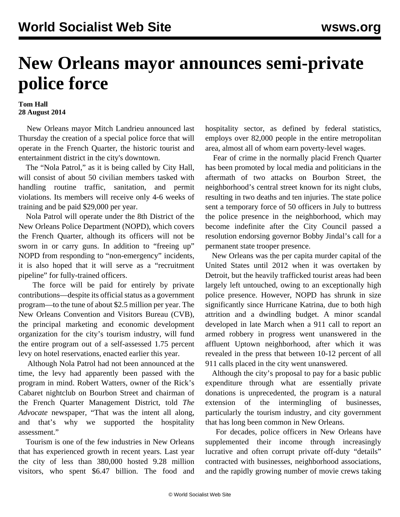## **New Orleans mayor announces semi-private police force**

## **Tom Hall 28 August 2014**

 New Orleans mayor Mitch Landrieu announced last Thursday the creation of a special police force that will operate in the French Quarter, the historic tourist and entertainment district in the city's downtown.

 The "Nola Patrol," as it is being called by City Hall, will consist of about 50 civilian members tasked with handling routine traffic, sanitation, and permit violations. Its members will receive only 4-6 weeks of training and be paid \$29,000 per year.

 Nola Patrol will operate under the 8th District of the New Orleans Police Department (NOPD), which covers the French Quarter, although its officers will not be sworn in or carry guns. In addition to "freeing up" NOPD from responding to "non-emergency" incidents, it is also hoped that it will serve as a "recruitment pipeline" for fully-trained officers.

 The force will be paid for entirely by private contributions—despite its official status as a government program—to the tune of about \$2.5 million per year. The New Orleans Convention and Visitors Bureau (CVB), the principal marketing and economic development organization for the city's tourism industry, will fund the entire program out of a self-assessed 1.75 percent levy on hotel reservations, enacted earlier this year.

 Although Nola Patrol had not been announced at the time, the levy had apparently been passed with the program in mind. Robert Watters, owner of the Rick's Cabaret nightclub on Bourbon Street and chairman of the French Quarter Management District, told *The Advocate* newspaper, "That was the intent all along, and that's why we supported the hospitality assessment."

 Tourism is one of the few industries in New Orleans that has experienced growth in recent years. Last year the city of less than 380,000 hosted 9.28 million visitors, who spent \$6.47 billion. The food and hospitality sector, as defined by federal statistics, employs over 82,000 people in the entire metropolitan area, almost all of whom earn poverty-level wages.

 Fear of crime in the normally placid French Quarter has been promoted by local media and politicians in the aftermath of two attacks on Bourbon Street, the neighborhood's central street known for its night clubs, resulting in two deaths and ten injuries. The state police sent a temporary force of 50 officers in July to buttress the police presence in the neighborhood, which may become indefinite after the City Council passed a resolution endorsing governor Bobby Jindal's call for a permanent state trooper presence.

 New Orleans was the per capita murder capital of the United States until 2012 when it was overtaken by Detroit, but the heavily trafficked tourist areas had been largely left untouched, owing to an exceptionally high police presence. However, NOPD has shrunk in size significantly since Hurricane Katrina, due to both high attrition and a dwindling budget. A minor scandal developed in late March when a 911 call to report an armed robbery in progress went unanswered in the affluent Uptown neighborhood, after which it was revealed in the press that between 10-12 percent of all 911 calls placed in the city went unanswered.

 Although the city's proposal to pay for a basic public expenditure through what are essentially private donations is unprecedented, the program is a natural extension of the intermingling of businesses, particularly the tourism industry, and city government that has long been common in New Orleans.

 For decades, police officers in New Orleans have supplemented their income through increasingly lucrative and often corrupt private off-duty "details" contracted with businesses, neighborhood associations, and the rapidly growing number of movie crews taking